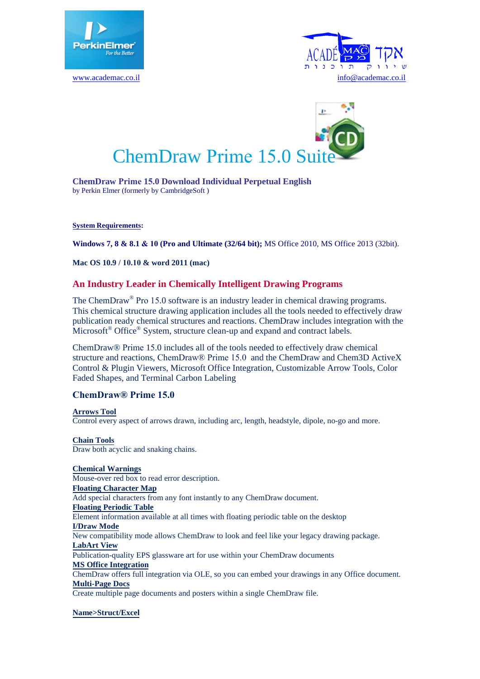





**ChemDraw Prime 15.0 Download Individual Perpetual English** by Perkin Elmer (formerly by CambridgeSoft )

## **System Requirements:**

**Windows 7, 8 & 8.1 & 10 (Pro and Ultimate (32/64 bit);** MS Office 2010, MS Office 2013 (32bit).

## **Mac OS 10.9 / 10.10 & word 2011 (mac)**

# **An Industry Leader in Chemically Intelligent Drawing Programs**

The ChemDraw<sup>®</sup> Pro 15.0 software is an industry leader in chemical drawing programs. This chemical structure drawing application includes all the tools needed to effectively draw publication ready chemical structures and reactions. ChemDraw includes integration with the Microsoft<sup>®</sup> Office<sup>®</sup> System, structure clean-up and expand and contract labels.

ChemDraw® Prime 15.0 includes all of the tools needed to effectively draw chemical structure and reactions, ChemDraw® Prime 15.0 and the ChemDraw and Chem3D ActiveX Control & Plugin Viewers, Microsoft Office Integration, Customizable Arrow Tools, Color Faded Shapes, and Terminal Carbon Labeling

# **ChemDraw® Prime 15.0**

**Arrows Tool** Control every aspect of arrows drawn, including arc, length, headstyle, dipole, no-go and more.

**Chain Tools** Draw both acyclic and snaking chains.

**Chemical Warnings** Mouse-over red box to read error description. **Floating Character Map** Add special characters from any font instantly to any ChemDraw document. **Floating Periodic Table** Element information available at all times with floating periodic table on the desktop **I/Draw Mode**  New compatibility mode allows ChemDraw to look and feel like your legacy drawing package. **LabArt View** Publication-quality EPS glassware art for use within your ChemDraw documents **MS Office Integration** ChemDraw offers full integration via OLE, so you can embed your drawings in any Office document. **Multi-Page Docs** Create multiple page documents and posters within a single ChemDraw file.

**Name>Struct/Excel**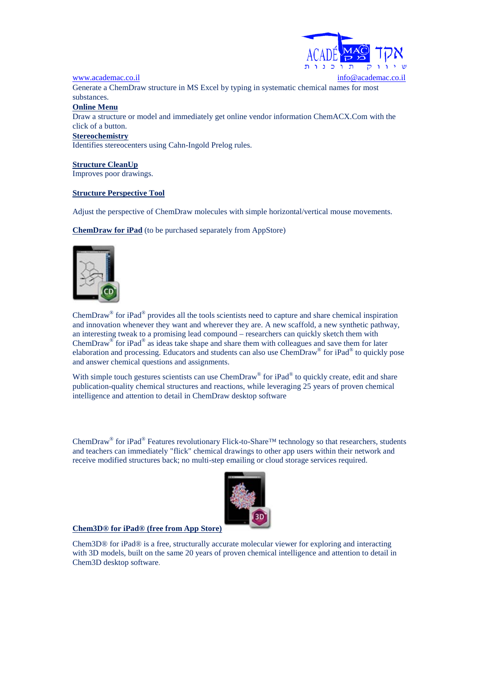

Generate a ChemDraw structure in MS Excel by typing in systematic chemical names for most substances.

# **Online Menu**

Draw a structure or model and immediately get online vendor information ChemACX.Com with the click of a button.

#### **Stereochemistry**

Identifies stereocenters using Cahn-Ingold Prelog rules.

# **Structure CleanUp**

Improves poor drawings.

#### **Structure Perspective Tool**

Adjust the perspective of ChemDraw molecules with simple horizontal/vertical mouse movements.

**ChemDraw for iPad** (to be purchased separately from AppStore)



ChemDraw<sup>®</sup> for iPad<sup>®</sup> provides all the tools scientists need to capture and share chemical inspiration and innovation whenever they want and wherever they are. A new scaffold, a new synthetic pathway, an interesting tweak to a promising lead compound – researchers can quickly sketch them with ChemDraw® for iPad® as ideas take shape and share them with colleagues and save them for later elaboration and processing. Educators and students can also use ChemDraw® for iPad® to quickly pose and answer chemical questions and assignments.

With simple touch gestures scientists can use ChemDraw<sup>®</sup> for iPad<sup>®</sup> to quickly create, edit and share publication-quality chemical structures and reactions, while leveraging 25 years of proven chemical intelligence and attention to detail in ChemDraw desktop software

ChemDraw® for iPad® Features revolutionary Flick-to-Share™ technology so that researchers, students and teachers can immediately "flick" chemical drawings to other app users within their network and receive modified structures back; no multi-step emailing or cloud storage services required.



#### **Chem3D® for iPad® (free from App Store)**

Chem3D® for iPad® is a free, structurally accurate molecular viewer for exploring and interacting with 3D models, built on the same 20 years of proven chemical intelligence and attention to detail in Chem3D desktop software.